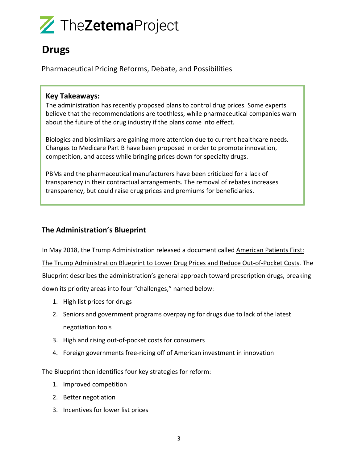# TheZetemaProject

### **Drugs**

Pharmaceutical Pricing Reforms, Debate, and Possibilities

#### **Key Takeaways:**

The administration has recently proposed plans to control drug prices. Some experts believe that the recommendations are toothless, while pharmaceutical companies warn about the future of the drug industry if the plans come into effect.

Biologics and biosimilars are gaining more attention due to current healthcare needs. Changes to Medicare Part B have been proposed in order to promote innovation, competition, and access while bringing prices down for specialty drugs.

PBMs and the pharmaceutical manufacturers have been criticized for a lack of transparency in their contractual arrangements. The removal of rebates increases transparency, but could raise drug prices and premiums for beneficiaries.

#### **The Administration's Blueprint**

In May 2018, the Trump Administration released a document called American Patients First: The Trump Administration Blueprint to Lower Drug Prices and Reduce Out-of-Pocket Costs. The Blueprint describes the administration's general approach toward prescription drugs, breaking down its priority areas into four "challenges," named below:

- 1. High list prices for drugs
- 2. Seniors and government programs overpaying for drugs due to lack of the latest negotiation tools
- 3. High and rising out-of-pocket costs for consumers
- 4. Foreign governments free-riding off of American investment in innovation

The Blueprint then identifies four key strategies for reform:

- 1. Improved competition
- 2. Better negotiation
- 3. Incentives for lower list prices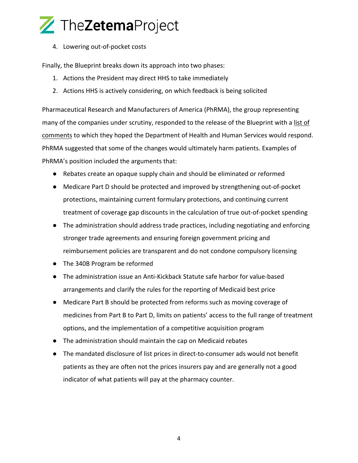### TheZetemaProject

4. Lowering out-of-pocket costs

Finally, the Blueprint breaks down its approach into two phases:

- 1. Actions the President may direct HHS to take immediately
- 2. Actions HHS is actively considering, on which feedback is being solicited

Pharmaceutical Research and Manufacturers of America (PhRMA), the group representing many of the companies under scrutiny, responded to the release of the Blueprint with a list of comments to which they hoped the Department of Health and Human Services would respond. PhRMA suggested that some of the changes would ultimately harm patients. Examples of PhRMA's position included the arguments that:

- Rebates create an opaque supply chain and should be eliminated or reformed
- Medicare Part D should be protected and improved by strengthening out-of-pocket protections, maintaining current formulary protections, and continuing current treatment of coverage gap discounts in the calculation of true out-of-pocket spending
- The administration should address trade practices, including negotiating and enforcing stronger trade agreements and ensuring foreign government pricing and reimbursement policies are transparent and do not condone compulsory licensing
- The 340B Program be reformed
- The administration issue an Anti-Kickback Statute safe harbor for value-based arrangements and clarify the rules for the reporting of Medicaid best price
- Medicare Part B should be protected from reforms such as moving coverage of medicines from Part B to Part D, limits on patients' access to the full range of treatment options, and the implementation of a competitive acquisition program
- The administration should maintain the cap on Medicaid rebates
- The mandated disclosure of list prices in direct-to-consumer ads would not benefit patients as they are often not the prices insurers pay and are generally not a good indicator of what patients will pay at the pharmacy counter.